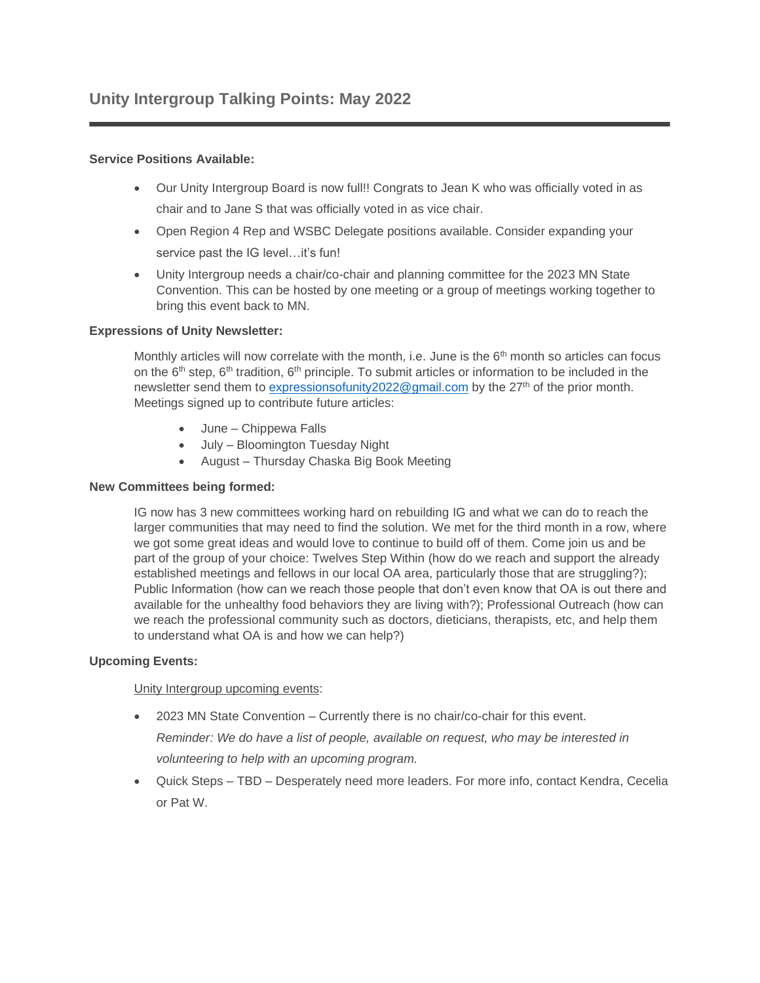## **Service Positions Available:**

- Our Unity Intergroup Board is now full!! Congrats to Jean K who was officially voted in as chair and to Jane S that was officially voted in as vice chair.
- Open Region 4 Rep and WSBC Delegate positions available. Consider expanding your service past the IG level...it's fun!
- Unity Intergroup needs a chair/co-chair and planning committee for the 2023 MN State Convention. This can be hosted by one meeting or a group of meetings working together to bring this event back to MN.

## **Expressions of Unity Newsletter:**

Monthly articles will now correlate with the month, i.e. June is the 6<sup>th</sup> month so articles can focus on the 6<sup>th</sup> step, 6<sup>th</sup> tradition, 6<sup>th</sup> principle. To submit articles or information to be included in the newsletter send them to expressionsofunity  $2022@$  mail.com by the  $27<sup>th</sup>$  of the prior month. Meetings signed up to contribute future articles:

- June Chippewa Falls
- July Bloomington Tuesday Night
- August Thursday Chaska Big Book Meeting

## **New Committees being formed:**

IG now has 3 new committees working hard on rebuilding IG and what we can do to reach the larger communities that may need to find the solution. We met for the third month in a row, where we got some great ideas and would love to continue to build off of them. Come join us and be part of the group of your choice: Twelves Step Within (how do we reach and support the already established meetings and fellows in our local OA area, particularly those that are struggling?); Public Information (how can we reach those people that don't even know that OA is out there and available for the unhealthy food behaviors they are living with?); Professional Outreach (how can we reach the professional community such as doctors, dieticians, therapists, etc, and help them to understand what OA is and how we can help?)

## **Upcoming Events:**

Unity Intergroup upcoming events:

- 2023 MN State Convention Currently there is no chair/co-chair for this event. *Reminder: We do have a list of people, available on request, who may be interested in volunteering to help with an upcoming program.*
- Quick Steps TBD Desperately need more leaders. For more info, contact Kendra, Cecelia or Pat W.